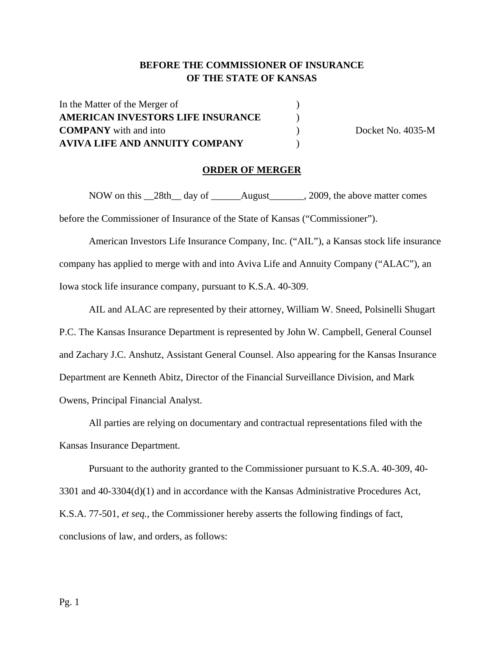## **BEFORE THE COMMISSIONER OF INSURANCE OF THE STATE OF KANSAS**

In the Matter of the Merger of  $($ **AMERICAN INVESTORS LIFE INSURANCE** ) **COMPANY** with and into  $\qquad \qquad$  ) Docket No. 4035-M **AVIVA LIFE AND ANNUITY COMPANY** )

### **ORDER OF MERGER**

NOW on this 28th day of August 2009, the above matter comes before the Commissioner of Insurance of the State of Kansas ("Commissioner").

American Investors Life Insurance Company, Inc. ("AIL"), a Kansas stock life insurance company has applied to merge with and into Aviva Life and Annuity Company ("ALAC"), an Iowa stock life insurance company, pursuant to K.S.A. 40-309.

AIL and ALAC are represented by their attorney, William W. Sneed, Polsinelli Shugart P.C. The Kansas Insurance Department is represented by John W. Campbell, General Counsel and Zachary J.C. Anshutz, Assistant General Counsel. Also appearing for the Kansas Insurance Department are Kenneth Abitz, Director of the Financial Surveillance Division, and Mark Owens, Principal Financial Analyst.

All parties are relying on documentary and contractual representations filed with the Kansas Insurance Department.

Pursuant to the authority granted to the Commissioner pursuant to K.S.A. 40-309, 40- 3301 and 40-3304(d)(1) and in accordance with the Kansas Administrative Procedures Act, K.S.A. 77-501, *et seq.,* the Commissioner hereby asserts the following findings of fact, conclusions of law, and orders, as follows: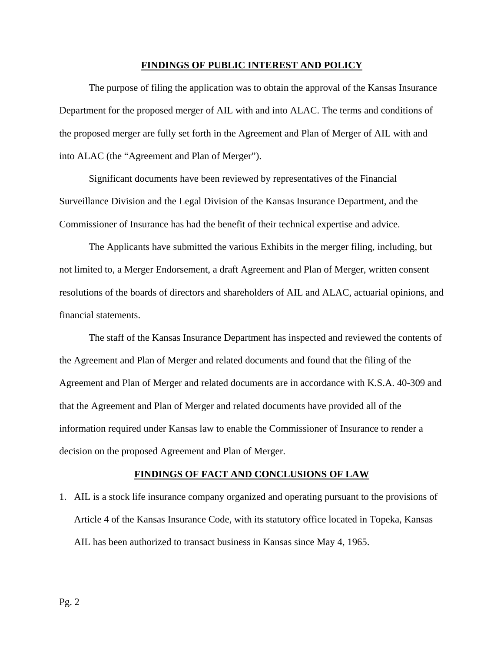#### **FINDINGS OF PUBLIC INTEREST AND POLICY**

The purpose of filing the application was to obtain the approval of the Kansas Insurance Department for the proposed merger of AIL with and into ALAC. The terms and conditions of the proposed merger are fully set forth in the Agreement and Plan of Merger of AIL with and into ALAC (the "Agreement and Plan of Merger").

Significant documents have been reviewed by representatives of the Financial Surveillance Division and the Legal Division of the Kansas Insurance Department, and the Commissioner of Insurance has had the benefit of their technical expertise and advice.

The Applicants have submitted the various Exhibits in the merger filing, including, but not limited to, a Merger Endorsement, a draft Agreement and Plan of Merger, written consent resolutions of the boards of directors and shareholders of AIL and ALAC, actuarial opinions, and financial statements.

The staff of the Kansas Insurance Department has inspected and reviewed the contents of the Agreement and Plan of Merger and related documents and found that the filing of the Agreement and Plan of Merger and related documents are in accordance with K.S.A. 40-309 and that the Agreement and Plan of Merger and related documents have provided all of the information required under Kansas law to enable the Commissioner of Insurance to render a decision on the proposed Agreement and Plan of Merger.

#### **FINDINGS OF FACT AND CONCLUSIONS OF LAW**

1. AIL is a stock life insurance company organized and operating pursuant to the provisions of Article 4 of the Kansas Insurance Code, with its statutory office located in Topeka, Kansas AIL has been authorized to transact business in Kansas since May 4, 1965.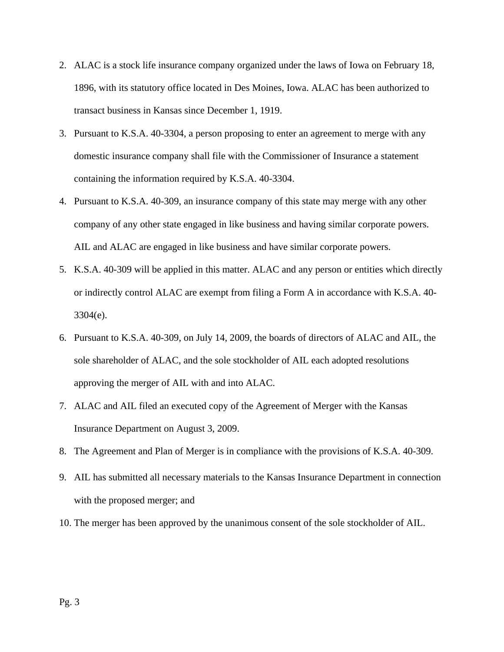- 2. ALAC is a stock life insurance company organized under the laws of Iowa on February 18, 1896, with its statutory office located in Des Moines, Iowa. ALAC has been authorized to transact business in Kansas since December 1, 1919.
- 3. Pursuant to K.S.A. 40-3304, a person proposing to enter an agreement to merge with any domestic insurance company shall file with the Commissioner of Insurance a statement containing the information required by K.S.A. 40-3304.
- 4. Pursuant to K.S.A. 40-309, an insurance company of this state may merge with any other company of any other state engaged in like business and having similar corporate powers. AIL and ALAC are engaged in like business and have similar corporate powers.
- 5. K.S.A. 40-309 will be applied in this matter. ALAC and any person or entities which directly or indirectly control ALAC are exempt from filing a Form A in accordance with K.S.A. 40- 3304(e).
- 6. Pursuant to K.S.A. 40-309, on July 14, 2009, the boards of directors of ALAC and AIL, the sole shareholder of ALAC, and the sole stockholder of AIL each adopted resolutions approving the merger of AIL with and into ALAC.
- 7. ALAC and AIL filed an executed copy of the Agreement of Merger with the Kansas Insurance Department on August 3, 2009.
- 8. The Agreement and Plan of Merger is in compliance with the provisions of K.S.A. 40-309.
- 9. AIL has submitted all necessary materials to the Kansas Insurance Department in connection with the proposed merger; and
- 10. The merger has been approved by the unanimous consent of the sole stockholder of AIL.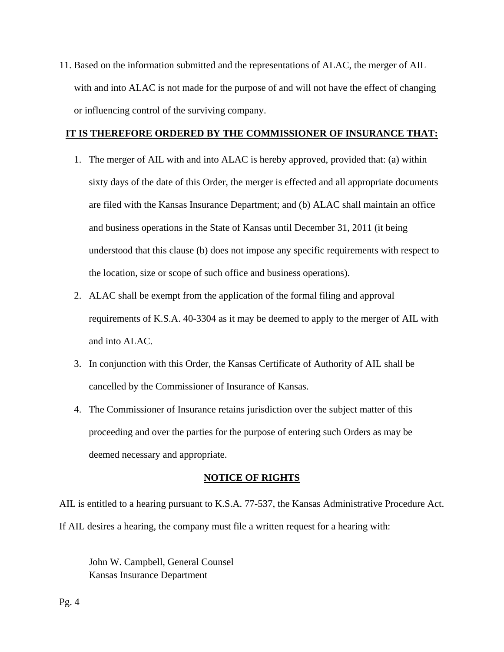11. Based on the information submitted and the representations of ALAC, the merger of AIL with and into ALAC is not made for the purpose of and will not have the effect of changing or influencing control of the surviving company.

### **IT IS THEREFORE ORDERED BY THE COMMISSIONER OF INSURANCE THAT:**

- 1. The merger of AIL with and into ALAC is hereby approved, provided that: (a) within sixty days of the date of this Order, the merger is effected and all appropriate documents are filed with the Kansas Insurance Department; and (b) ALAC shall maintain an office and business operations in the State of Kansas until December 31, 2011 (it being understood that this clause (b) does not impose any specific requirements with respect to the location, size or scope of such office and business operations).
- 2. ALAC shall be exempt from the application of the formal filing and approval requirements of K.S.A. 40-3304 as it may be deemed to apply to the merger of AIL with and into ALAC.
- 3. In conjunction with this Order, the Kansas Certificate of Authority of AIL shall be cancelled by the Commissioner of Insurance of Kansas.
- 4. The Commissioner of Insurance retains jurisdiction over the subject matter of this proceeding and over the parties for the purpose of entering such Orders as may be deemed necessary and appropriate.

### **NOTICE OF RIGHTS**

AIL is entitled to a hearing pursuant to K.S.A. 77-537, the Kansas Administrative Procedure Act. If AIL desires a hearing, the company must file a written request for a hearing with:

 John W. Campbell, General Counsel Kansas Insurance Department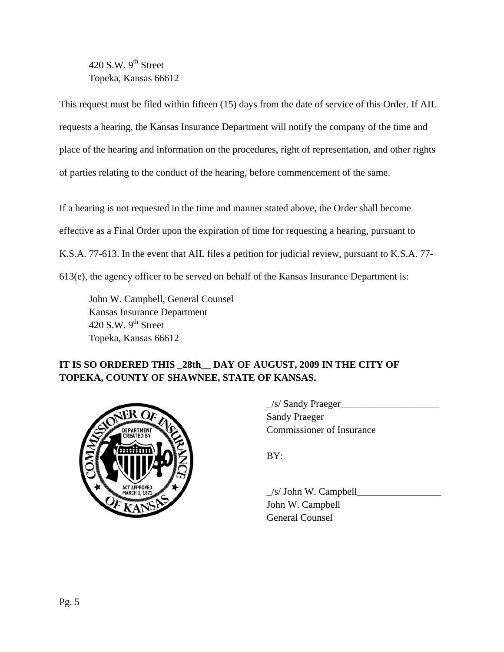420 S.W.  $9<sup>th</sup>$  Street Topeka, Kansas 66612

This request must be filed within fifteen (15) days from the date of service of this Order. If AIL requests a hearing, the Kansas Insurance Department will notify the company of the time and place of the hearing and information on the procedures, right of representation, and other rights of parties relating to the conduct of the hearing, before commencement of the same.

If a hearing is not requested in the time and manner stated above, the Order shall become effective as a Final Order upon the expiration of time for requesting a hearing, pursuant to K.S.A. 77-613. In the event that AIL files a petition for judicial review, pursuant to K.S.A. 77- 613(e), the agency officer to be served on behalf of the Kansas Insurance Department is:

 John W. Campbell, General Counsel Kansas Insurance Department 420 S.W.  $9<sup>th</sup>$  Street Topeka, Kansas 66612

# **IT IS SO ORDERED THIS \_28th\_\_ DAY OF AUGUST, 2009 IN THE CITY OF TOPEKA, COUNTY OF SHAWNEE, STATE OF KANSAS.**



 $\angle$ s/ Sandy Praeger $\angle$  Sandy Praeger Commissioner of Insurance

 $\angle$ s/ John W. Campbell $\angle$  John W. Campbell General Counsel